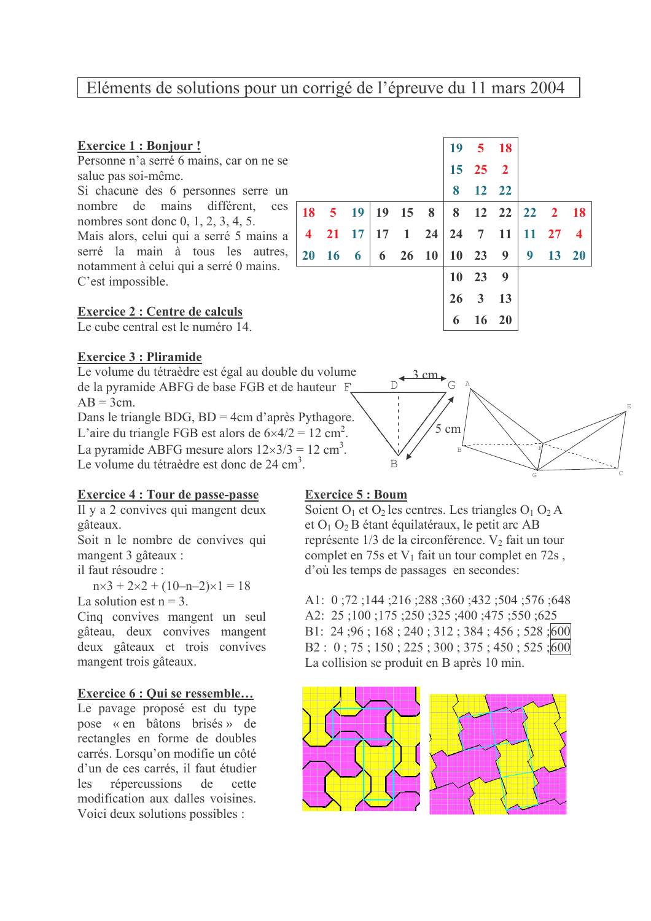# Eléments de solutions pour un corrigé de l'épreuve du 11 mars 2004

### Exercice 1 : Bonjour !

Personne n'a serré 6 mains, car on ne se salue pas soi-même.

Si chacune des 6 personnes serre un nombre de mains différent. ces nombres sont donc 0, 1, 2, 3, 4, 5. Mais alors, celui qui a serré 5 mains a serré la main à tous les autres, notamment à celui qui a serré 0 mains. C'est impossible.

# **Exercice 2 : Centre de calculs**

Le cube central est le numéro 14.

# **Exercice 3 : Pliramide**

Le volume du tétraèdre est égal au double du volume de la pyramide ABFG de base FGB et de hauteur F  $AB = 3cm$ Dans le triangle BDG, BD = 4cm d'après Pythagore. L'aire du triangle FGB est alors de  $6 \times 4/2 = 12$  cm<sup>2</sup>. La pyramide ABFG mesure alors  $12 \times 3/3 = 12$  cm<sup>3</sup>. Le volume du tétraèdre est donc de 24 cm<sup>3</sup>

#### **Exercice 4 : Tour de passe-passe**

Il y a 2 convives qui mangent deux gâteaux.

Soit n le nombre de convives qui mangent 3 gâteaux :

il faut résoudre :

 $nx3 + 2 \times 2 + (10-n-2) \times 1 = 18$ 

La solution est  $n = 3$ .

Cinq convives mangent un seul gâteau, deux convives mangent deux gâteaux et trois convives mangent trois gâteaux.

#### Exercice 6 : Qui se ressemble...

Le pavage proposé est du type pose « en bâtons brisés » de rectangles en forme de doubles carrés. Lorsqu'on modifie un côté d'un de ces carrés, il faut étudier les répercussions de cette modification aux dalles voisines. Voici deux solutions possibles :

|  |                                 |  |   | 19 5 18              |  |       |  |
|--|---------------------------------|--|---|----------------------|--|-------|--|
|  |                                 |  |   | $15 \t25 \t2$        |  |       |  |
|  |                                 |  | 8 | 12 22                |  |       |  |
|  | 18 5 19 19 15 8 8 12 22 22 2 18 |  |   |                      |  |       |  |
|  | 4 21 17 17 1 24 24 7 11 11 27 4 |  |   |                      |  |       |  |
|  | 20 16 6 6 26 10 10 23 9 9       |  |   |                      |  | 13 20 |  |
|  |                                 |  |   | $10$ 23 9            |  |       |  |
|  |                                 |  |   | $26$ 3 13<br>6 16 20 |  |       |  |
|  |                                 |  |   |                      |  |       |  |



#### **Exercice 5 : Boum**

Soient  $O_1$  et  $O_2$  les centres. Les triangles  $O_1 O_2 A$ et  $O_1 O_2 B$  étant équilatéraux, le petit arc AB représente  $1/3$  de la circonférence.  $V_2$  fait un tour complet en 75s et V<sub>1</sub> fait un tour complet en 72s, d'où les temps de passages en secondes:

A1: 0:72:144:216:288:360:432:504:576:648 A2: 25; 100; 175; 250; 325; 400; 475; 550; 625 B1: 24 ; 96 ; 168 ; 240 ; 312 ; 384 ; 456 ; 528 ; 600 B2: 0; 75; 150; 225; 300; 375; 450; 525; 600 La collision se produit en B après 10 min.

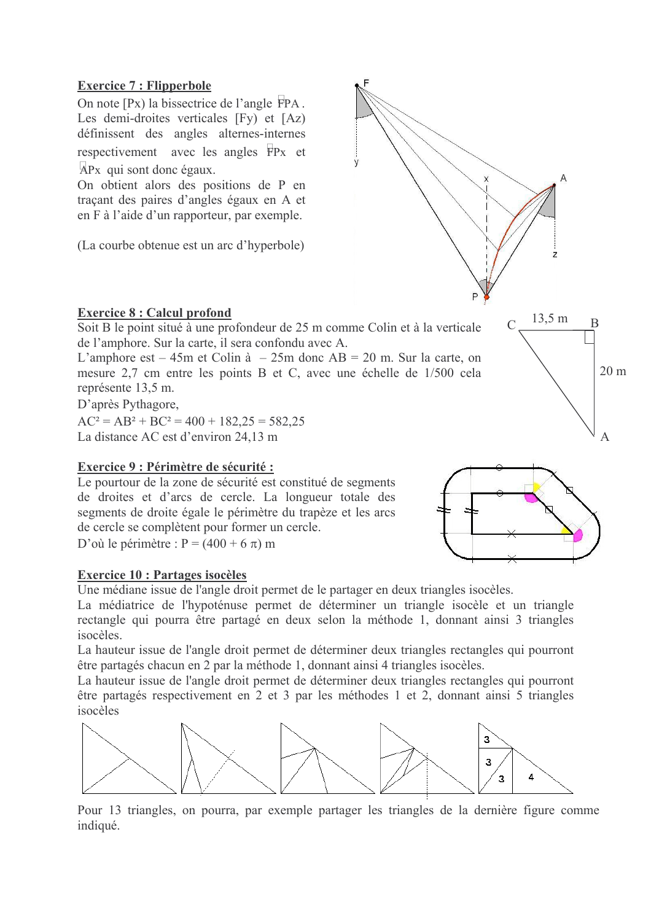# **Exercice 7 : Flipperbole**

On note [Px] la bissectrice de l'angle FPA. Les demi-droites verticales [Fy] et [Az] définissent des angles alternes-internes respectivement avec les angles FP<sub>x</sub> et  $APx$  qui sont donc égaux.

On obtient alors des positions de P en traçant des paires d'angles égaux en A et en F à l'aide d'un rapporteur, par exemple.

(La courbe obtenue est un arc d'hyperbole)



# **Exercice 8 : Calcul profond**

Soit B le point situé à une profondeur de 25 m comme Colin et à la verticale de l'amphore. Sur la carte, il sera confondu avec A.

L'amphore est – 45m et Colin à – 25m donc AB = 20 m. Sur la carte, on mesure 2,7 cm entre les points B et C, avec une échelle de 1/500 cela représente 13,5 m.

D'après Pythagore,

 $AC^2 = AB^2 + BC^2 = 400 + 182,25 = 582,25$ La distance AC est d'environ 24,13 m

# **Exercice 9 : Périmètre de sécurité :**

Le pourtour de la zone de sécurité est constitué de segments de droites et d'arcs de cercle. La longueur totale des segments de droite égale le périmètre du trapèze et les arcs de cercle se complètent pour former un cercle.

D'où le périmètre :  $P = (400 + 6 \pi)$  m

# **Exercice 10 : Partages isocèles**

Une médiane issue de l'angle droit permet de le partager en deux triangles isocèles.

La médiatrice de l'hypoténuse permet de déterminer un triangle isocèle et un triangle rectangle qui pourra être partagé en deux selon la méthode 1, donnant ainsi 3 triangles isocèles

La hauteur issue de l'angle droit permet de déterminer deux triangles rectangles qui pourront être partagés chacun en 2 par la méthode 1, donnant ainsi 4 triangles isocèles.

La hauteur issue de l'angle droit permet de déterminer deux triangles rectangles qui pourront être partagés respectivement en 2 et 3 par les méthodes 1 et 2, donnant ainsi 5 triangles isocèles



Pour 13 triangles, on pourra, par exemple partager les triangles de la dernière figure comme indiqué.



 $\overline{B}$